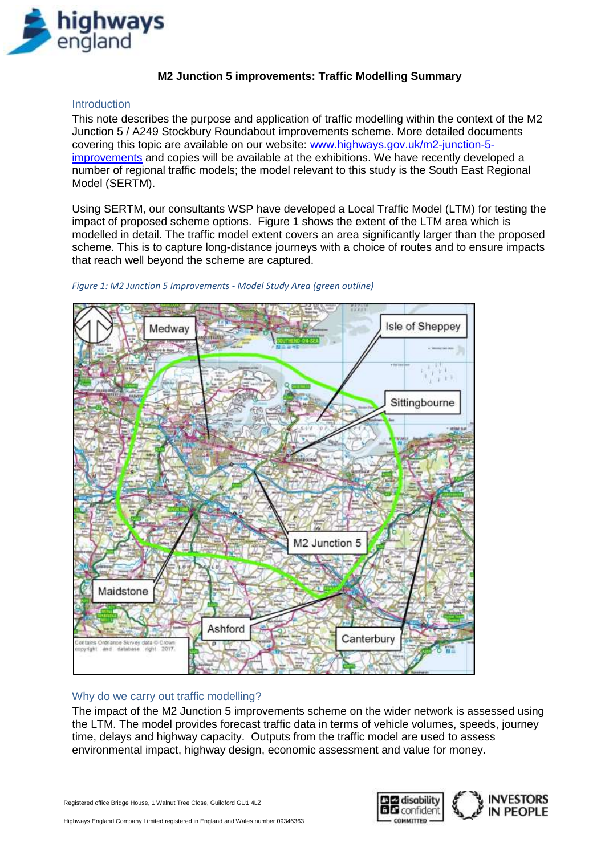

# **M2 Junction 5 improvements: Traffic Modelling Summary**

### **Introduction**

This note describes the purpose and application of traffic modelling within the context of the M2 Junction 5 / A249 Stockbury Roundabout improvements scheme. More detailed documents covering this topic are available on our website: [www.highways.gov.uk/m2-junction-5](http://www.highways.gov.uk/m2-junction-5-improvements) [improvements](http://www.highways.gov.uk/m2-junction-5-improvements) and copies will be available at the exhibitions. We have recently developed a number of regional traffic models; the model relevant to this study is the South East Regional Model (SERTM).

Using SERTM, our consultants WSP have developed a Local Traffic Model (LTM) for testing the impact of proposed scheme options. [Figure 1](#page-0-0) shows the extent of the LTM area which is modelled in detail. The traffic model extent covers an area significantly larger than the proposed scheme. This is to capture long-distance journeys with a choice of routes and to ensure impacts that reach well beyond the scheme are captured.



#### <span id="page-0-0"></span>*Figure 1: M2 Junction 5 Improvements - Model Study Area (green outline)*

### Why do we carry out traffic modelling?

The impact of the M2 Junction 5 improvements scheme on the wider network is assessed using the LTM. The model provides forecast traffic data in terms of vehicle volumes, speeds, journey time, delays and highway capacity. Outputs from the traffic model are used to assess environmental impact, highway design, economic assessment and value for money.

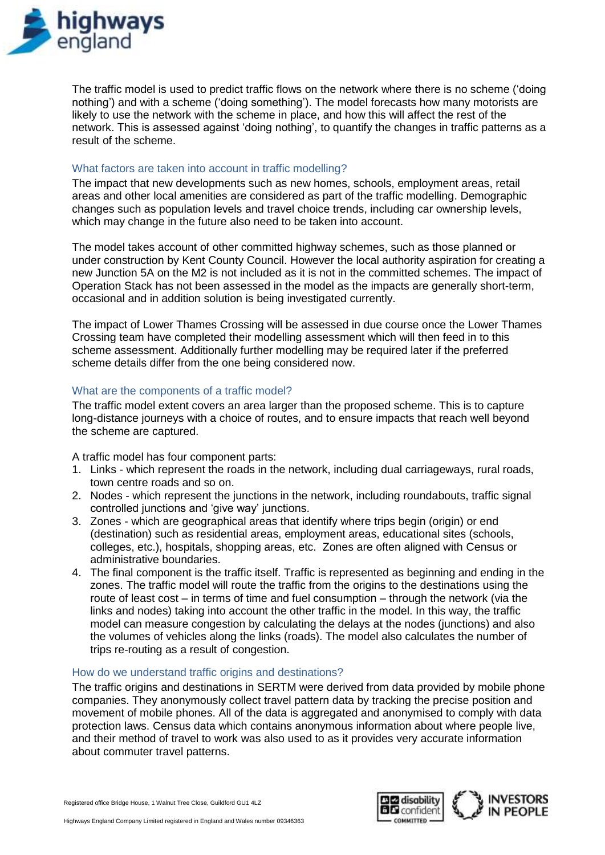

The traffic model is used to predict traffic flows on the network where there is no scheme ('doing nothing') and with a scheme ('doing something'). The model forecasts how many motorists are likely to use the network with the scheme in place, and how this will affect the rest of the network. This is assessed against 'doing nothing', to quantify the changes in traffic patterns as a result of the scheme.

## What factors are taken into account in traffic modelling?

The impact that new developments such as new homes, schools, employment areas, retail areas and other local amenities are considered as part of the traffic modelling. Demographic changes such as population levels and travel choice trends, including car ownership levels, which may change in the future also need to be taken into account.

The model takes account of other committed highway schemes, such as those planned or under construction by Kent County Council. However the local authority aspiration for creating a new Junction 5A on the M2 is not included as it is not in the committed schemes. The impact of Operation Stack has not been assessed in the model as the impacts are generally short-term, occasional and in addition solution is being investigated currently.

The impact of Lower Thames Crossing will be assessed in due course once the Lower Thames Crossing team have completed their modelling assessment which will then feed in to this scheme assessment. Additionally further modelling may be required later if the preferred scheme details differ from the one being considered now.

### What are the components of a traffic model?

The traffic model extent covers an area larger than the proposed scheme. This is to capture long-distance journeys with a choice of routes, and to ensure impacts that reach well beyond the scheme are captured.

A traffic model has four component parts:

- 1. Links which represent the roads in the network, including dual carriageways, rural roads, town centre roads and so on.
- 2. Nodes which represent the junctions in the network, including roundabouts, traffic signal controlled junctions and 'give way' junctions.
- 3. Zones which are geographical areas that identify where trips begin (origin) or end (destination) such as residential areas, employment areas, educational sites (schools, colleges, etc.), hospitals, shopping areas, etc. Zones are often aligned with Census or administrative boundaries.
- 4. The final component is the traffic itself. Traffic is represented as beginning and ending in the zones. The traffic model will route the traffic from the origins to the destinations using the route of least cost – in terms of time and fuel consumption – through the network (via the links and nodes) taking into account the other traffic in the model. In this way, the traffic model can measure congestion by calculating the delays at the nodes (junctions) and also the volumes of vehicles along the links (roads). The model also calculates the number of trips re-routing as a result of congestion.

### How do we understand traffic origins and destinations?

The traffic origins and destinations in SERTM were derived from data provided by mobile phone companies. They anonymously collect travel pattern data by tracking the precise position and movement of mobile phones. All of the data is aggregated and anonymised to comply with data protection laws. Census data which contains anonymous information about where people live, and their method of travel to work was also used to as it provides very accurate information about commuter travel patterns.

Registered office Bridge House, 1 Walnut Tree Close, Guildford GU1 4LZ